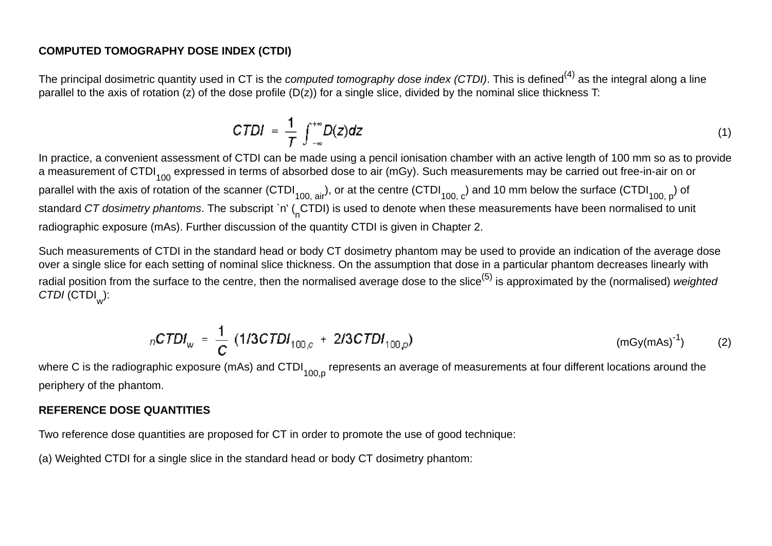#### **COMPUTED TOMOGRAPHY DOSE INDEX (CTDI)**

The principal dosimetric quantity used in CT is the *computed tomography dose index (CTDI)*. This is defined(4) as the integral along a line parallel to the axis of rotation (z) of the dose profile (D(z)) for a single slice, divided by the nominal slice thickness T:

$$
CTDI = \frac{1}{T} \int_{-\infty}^{+\infty} D(z) dz
$$
 (1)

In practice, a convenient assessment of CTDI can be made using a pencil ionisation chamber with an active length of 100 mm so as to provide a measurement of CTDI<sub>100</sub> expressed in terms of absorbed dose to air (mGy). Such measurements may be carried out free-in-air on or parallel with the axis of rotation of the scanner (CTDI<sub>100, air</sub>), or at the centre (CTDI<sub>100, c</sub>) and 10 mm below the surface (CTDI<sub>100, p</sub>) of standard CT dosimetry phantoms. The subscript `n' (CTDI) is used to denote when these measurements have been normalised to unit radiographic exposure (mAs). Further discussion of the quantity CTDI is given in Chapter 2.

Such measurements of CTDI in the standard head or body CT dosimetry phantom may be used to provide an indication of the average dose over a single slice for each setting of nominal slice thickness. On the assumption that dose in a particular phantom decreases linearly with radial position from the surface to the centre, then the normalised average dose to the slice<sup>(5)</sup> is approximated by the (normalised) *weighted CTDI* (CTDI<sub>w</sub>):

$$
n\text{CTDI}_w = \frac{1}{C} (1/3\text{CTDI}_{100,c} + 2/3\text{CTDI}_{100,c}) \qquad \qquad \text{(mgy(mAs)}^{-1}) \qquad (2)
$$

where C is the radiographic exposure (mAs) and CTDI $_{100\text{ p}}$  represents an average of measurements at four different locations around the periphery of the phantom.

### **REFERENCE DOSE QUANTITIES**

Two reference dose quantities are proposed for CT in order to promote the use of good technique:

(a) Weighted CTDI for a single slice in the standard head or body CT dosimetry phantom: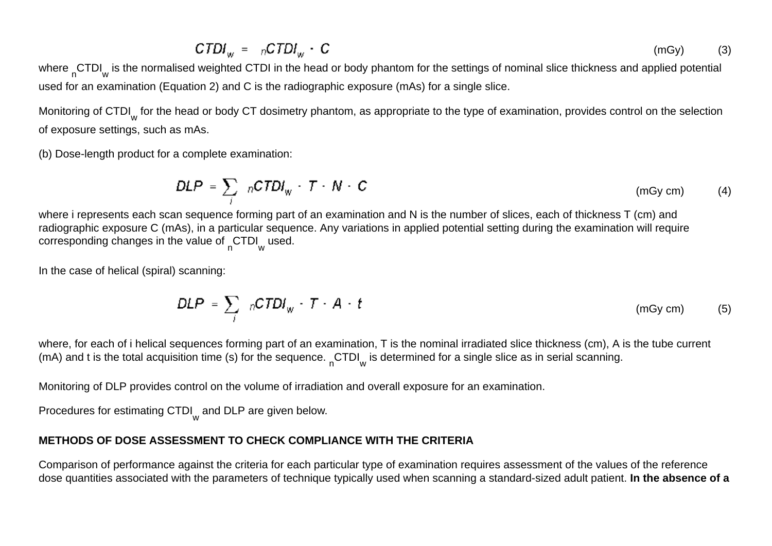$$
CTDI_w = nCTDI_w \cdot C \tag{3}
$$

where <sub>n</sub>CTDI<sub>w</sub> is the normalised weighted CTDI in the head or body phantom for the settings of nominal slice thickness and applied potential used for an examination (Equation 2) and C is the radiographic exposure (mAs) for a single slice.

Monitoring of CTDI<sub>w</sub> for the head or body CT dosimetry phantom, as appropriate to the type of examination, provides control on the selection of exposure settings, such as mAs.

(b) Dose-length product for a complete examination:

$$
DLP = \sum_{i} nCTDI_{w} \cdot T \cdot N \cdot C \qquad (mgym) \qquad (4)
$$

where i represents each scan sequence forming part of an examination and N is the number of slices, each of thickness T (cm) and radiographic exposure C (mAs), in a particular sequence. Any variations in applied potential setting during the examination will require corresponding changes in the value of  $CTDI_w$  used.

In the case of helical (spiral) scanning:

$$
DLP = \sum_{i} nCTDI_{w} \cdot T \cdot A \cdot t \qquad (mGy cm) \qquad (5)
$$

where, for each of i helical sequences forming part of an examination, T is the nominal irradiated slice thickness (cm), A is the tube current (mA) and t is the total acquisition time (s) for the sequence.  $CTDI_w$  is determined for a single slice as in serial scanning.

Monitoring of DLP provides control on the volume of irradiation and overall exposure for an examination.

Procedures for estimating CTDI<sub>w</sub> and DLP are given below.

### **METHODS OF DOSE ASSESSMENT TO CHECK COMPLIANCE WITH THE CRITERIA**

Comparison of performance against the criteria for each particular type of examination requires assessment of the values of the reference dose quantities associated with the parameters of technique typically used when scanning a standard-sized adult patient. **In the absence of a**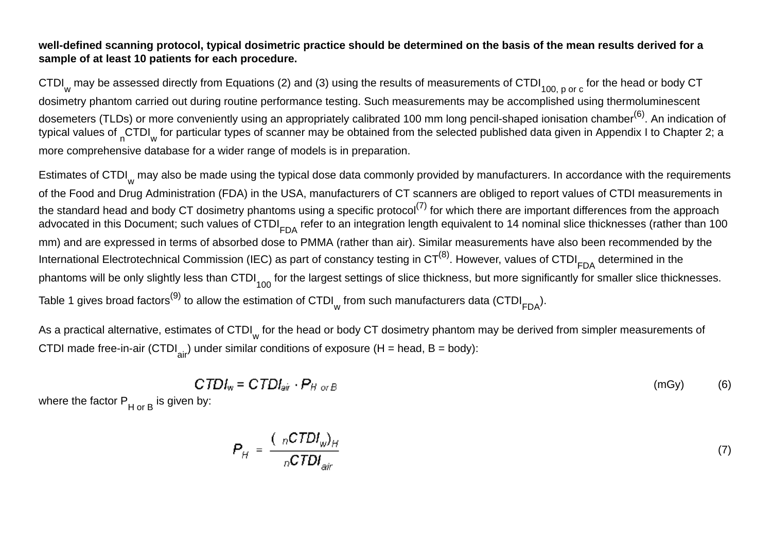#### **well-defined scanning protocol, typical dosimetric practice should be determined on the basis of the mean results derived for a sample of at least 10 patients for each procedure.**

CTDI<sub>w</sub> may be assessed directly from Equations (2) and (3) using the results of measurements of CTDI<sub>100, p or c</sub> for the head or body CT dosimetry phantom carried out during routine performance testing. Such measurements may be accomplished using thermoluminescent dosemeters (TLDs) or more conveniently using an appropriately calibrated 100 mm long pencil-shaped ionisation chamber<sup>(6)</sup>. An indication of typical values of <sub>n</sub>CTDI<sub>w</sub> for particular types of scanner may be obtained from the selected published data given in Appendix I to Chapter 2; a more comprehensive database for a wider range of models is in preparation.

Estimates of CTDI<sub>w</sub> may also be made using the typical dose data commonly provided by manufacturers. In accordance with the requirements of the Food and Drug Administration (FDA) in the USA, manufacturers of CT scanners are obliged to report values of CTDI measurements in the standard head and body CT dosimetry phantoms using a specific protocol<sup>(7)</sup> for which there are important differences from the approach advocated in this Document; such values of CTDI<sub>FDA</sub> refer to an integration length equivalent to 14 nominal slice thicknesses (rather than 100 mm) and are expressed in terms of absorbed dose to PMMA (rather than air). Similar measurements have also been recommended by the International Electrotechnical Commission (IEC) as part of constancy testing in  $CT^{(8)}$ . However, values of CTDI<sub>FDA</sub> determined in the phantoms will be only slightly less than CTDI $_{100}$  for the largest settings of slice thickness, but more significantly for smaller slice thicknesses. Table 1 gives broad factors<sup>(9)</sup> to allow the estimation of CTDI<sub>w</sub> from such manufacturers data (CTDI<sub>FDA</sub>).

As a practical alternative, estimates of CTDI<sub>w</sub> for the head or body CT dosimetry phantom may be derived from simpler measurements of CTDI made free-in-air (CTDI<sub>air</sub>) under similar conditions of exposure (H = head, B = body):

$$
CTDI_w = CTDI_{air} \cdot P_{H \text{ or } B} \tag{6}
$$

where the factor  $P_{H or B}$  is given by:

$$
P_H = \frac{(\,nCTDI_w)_H}{nCTDI_{air}}\tag{7}
$$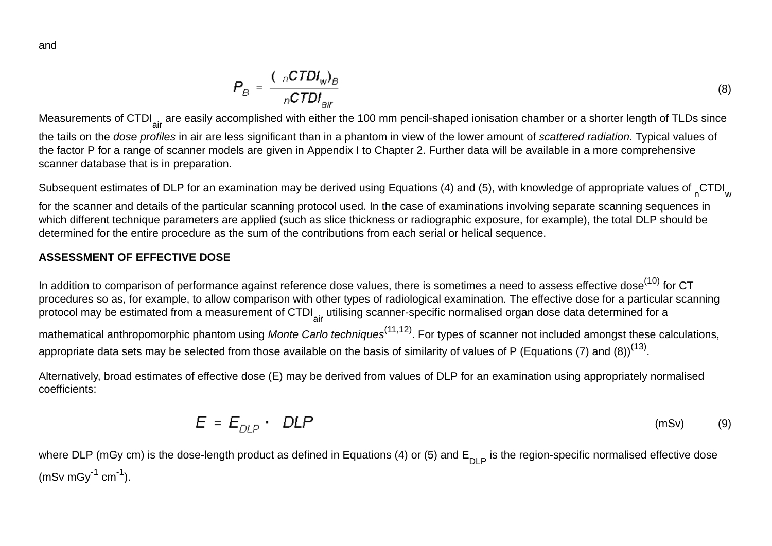$$
P_{B} = \frac{(\ _{n}CTDI_{w})_{B}}{nCTDI_{air}} \tag{8}
$$

Measurements of CTDI<sub>air</sub> are easily accomplished with either the 100 mm pencil-shaped ionisation chamber or a shorter length of TLDs since the tails on the *dose profiles* in air are less significant than in a phantom in view of the lower amount of *scattered radiation*. Typical values of the factor P for a range of scanner models are given in Appendix I to Chapter 2. Further data will be available in a more comprehensive scanner database that is in preparation.

Subsequent estimates of DLP for an examination may be derived using Equations (4) and (5), with knowledge of appropriate values of CTDI

for the scanner and details of the particular scanning protocol used. In the case of examinations involving separate scanning sequences in which different technique parameters are applied (such as slice thickness or radiographic exposure, for example), the total DLP should be determined for the entire procedure as the sum of the contributions from each serial or helical sequence.

### **ASSESSMENT OF EFFECTIVE DOSE**

In addition to comparison of performance against reference dose values, there is sometimes a need to assess effective dose<sup>(10)</sup> for CT procedures so as, for example, to allow comparison with other types of radiological examination. The effective dose for a particular scanning protocol may be estimated from a measurement of CTDI<sub>air</sub> utilising scanner-specific normalised organ dose data determined for a

mathematical anthropomorphic phantom using *Monte Carlo techniques*(11,12). For types of scanner not included amongst these calculations, appropriate data sets may be selected from those available on the basis of similarity of values of P (Equations (7) and (8))<sup>(13)</sup>.

Alternatively, broad estimates of effective dose (E) may be derived from values of DLP for an examination using appropriately normalised coefficients:

$$
E = E_{DLP} \cdot DLP \tag{9}
$$

where DLP (mGy cm) is the dose-length product as defined in Equations (4) or (5) and  $E_{DLP}$  is the region-specific normalised effective dose  $(mSv mGy^{-1} cm^{-1}).$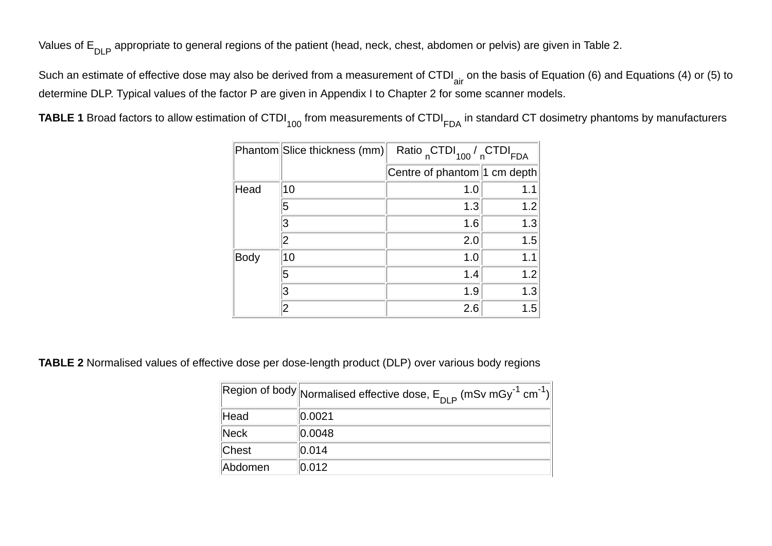Values of E<sub>DLP</sub> appropriate to general regions of the patient (head, neck, chest, abdomen or pelvis) are given in Table 2.

Such an estimate of effective dose may also be derived from a measurement of CTDI<sub>air</sub> on the basis of Equation (6) and Equations (4) or (5) to determine DLP. Typical values of the factor P are given in Appendix I to Chapter 2 for some scanner models.

|  |  | TABLE 1 Broad factors to allow estimation of CTDI <sub>100</sub> from measurements of CTDI <sub>FDA</sub> in standard CT dosimetry phantoms by manufacturers |
|--|--|--------------------------------------------------------------------------------------------------------------------------------------------------------------|
|--|--|--------------------------------------------------------------------------------------------------------------------------------------------------------------|

|      | Phantom Slice thickness (mm) | Ratio CTDI <sub>100</sub> / CTDI <sub>FDA</sub> |     |  |  |  |
|------|------------------------------|-------------------------------------------------|-----|--|--|--|
|      |                              | Centre of phantom 1 cm depth                    |     |  |  |  |
| Head | 10                           | 1.0                                             | 1.1 |  |  |  |
|      | 5                            | 1.3                                             | 1.2 |  |  |  |
|      |                              | 1.6                                             | 1.3 |  |  |  |
|      |                              | 2.0                                             | 1.5 |  |  |  |
| Body | 10                           | 1.0                                             | 1.1 |  |  |  |
|      | 5                            | 1.4                                             | 1.2 |  |  |  |
|      |                              | 1.9                                             | 1.3 |  |  |  |
|      |                              | 2.6                                             | 1.5 |  |  |  |

**TABLE 2** Normalised values of effective dose per dose-length product (DLP) over various body regions

|                  | $\left\Vert \mathsf{Region} \text{ of body} \right\Vert$ Normalised effective dose, $\mathsf{E}_{\mathsf{DI} \mathsf{P}}$ (mSv mGy $^{-1}$ cm $^{-1})\right\Vert$ |
|------------------|-------------------------------------------------------------------------------------------------------------------------------------------------------------------|
| Head             | 0.0021                                                                                                                                                            |
| $\parallel$ Neck | 0.0048                                                                                                                                                            |
| Chest            | 0.014                                                                                                                                                             |
| Abdomen          | 0.012                                                                                                                                                             |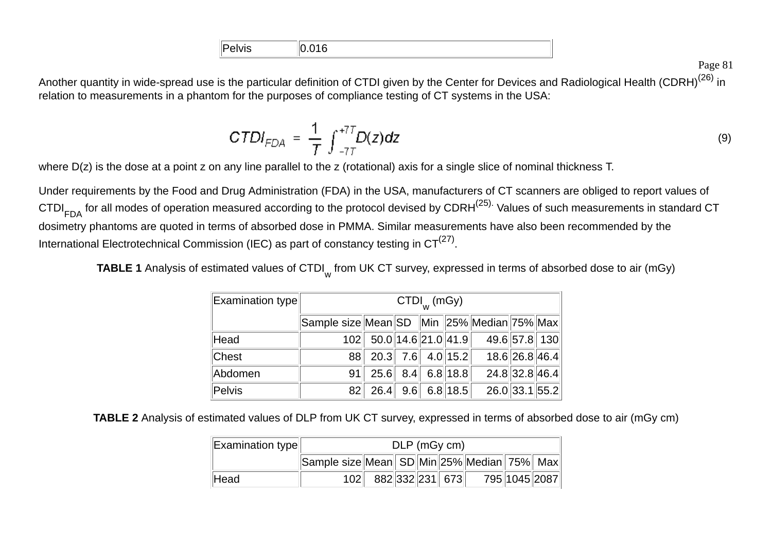| $ \mathsf{Pe}\>$<br><u></u> |  |
|-----------------------------|--|

Another quantity in wide-spread use is the particular definition of CTDI given by the Center for Devices and Radiological Health (CDRH)<sup>(26)</sup> in relation to measurements in a phantom for the purposes of compliance testing of CT systems in the USA:

$$
CTDI_{FDA} = \frac{1}{T} \int_{-7T}^{+7T} D(z) dz
$$
 (9)

where  $D(z)$  is the dose at a point z on any line parallel to the z (rotational) axis for a single slice of nominal thickness T.

Under requirements by the Food and Drug Administration (FDA) in the USA, manufacturers of CT scanners are obliged to report values of CTDI<sub>FDA</sub> for all modes of operation measured according to the protocol devised by CDRH<sup>(25).</sup> Values of such measurements in standard CT dosimetry phantoms are quoted in terms of absorbed dose in PMMA. Similar measurements have also been recommended by the International Electrotechnical Commission (IEC) as part of constancy testing in  $CT^{(27)}$ .

**TABLE 1** Analysis of estimated values of CTDI<sub>w</sub> from UK CT survey, expressed in terms of absorbed dose to air (mGy)

| $\vert$ Examination type $\vert$ | $CTDI_{w}$ (mGy) |                                            |  |  |                |              |                |              |  |  |
|----------------------------------|------------------|--------------------------------------------|--|--|----------------|--------------|----------------|--------------|--|--|
|                                  |                  | Sample size Mean SD Min 25% Median 75% Max |  |  |                |              |                |              |  |  |
| Head                             | 102              | $50.0$   14.6  21.0  41.9                  |  |  |                | 49.657.8 130 |                |              |  |  |
| <b>Chest</b>                     | 88               | $20.3$ 7.6 4.0 15.2                        |  |  |                |              | 18.6 26.8 46.4 |              |  |  |
| Abdomen                          | 91               | 25.6                                       |  |  | $8.4$ 6.8 18.8 |              | 24.8 32.8 46.4 |              |  |  |
| Pelvis                           | 82               | 26.4                                       |  |  | $9.6$ 6.8 18.5 |              |                | 26.033.155.2 |  |  |

**TABLE 2** Analysis of estimated values of DLP from UK CT survey, expressed in terms of absorbed dose to air (mGy cm)

| $\ $ Examination type $\ $ | $DLP$ (mGy cm)                             |                     |  |  |  |  |  |               |
|----------------------------|--------------------------------------------|---------------------|--|--|--|--|--|---------------|
|                            | Sample size Mean SD Min 25% Median 75% Max |                     |  |  |  |  |  |               |
| Head                       |                                            | 102 882 332 231 673 |  |  |  |  |  | 795 1045 2087 |

Page 81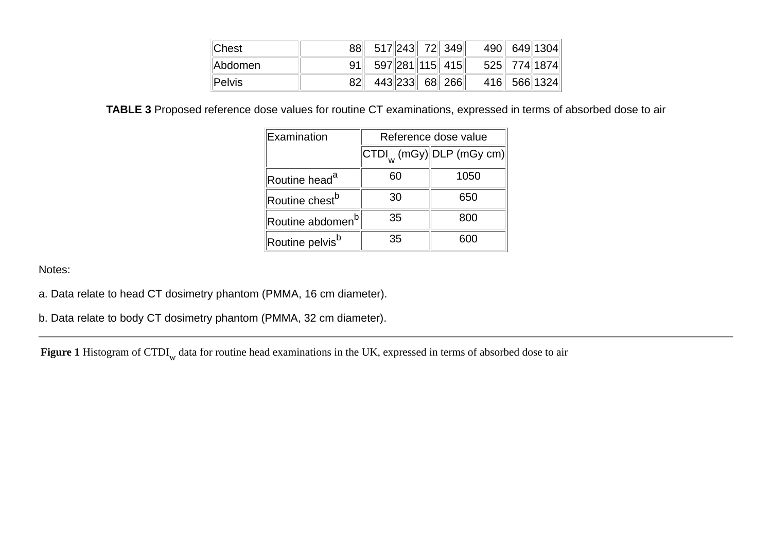| <b>Chest</b>   | 88 517 243 72 349 490 649 1304  |  |  |  |
|----------------|---------------------------------|--|--|--|
| <b>Abdomen</b> | 91 597 281 115 415 525 774 1874 |  |  |  |
| $\ $ Pelvis    | 82 443 233 68 266 416 566 1324  |  |  |  |

**TABLE 3** Proposed reference dose values for routine CT examinations, expressed in terms of absorbed dose to air

| Examination                  | Reference dose value |                                                                                                                 |  |  |  |  |
|------------------------------|----------------------|-----------------------------------------------------------------------------------------------------------------|--|--|--|--|
|                              |                      | $\left\Vert \text{CTDI}_{_{\text{W}}} \left( \text{mGy} \right) \right\Vert$ DLP (mGy c $\overline{\text{m}}$ ) |  |  |  |  |
| Routine head <sup>a</sup>    | 60                   | 1050                                                                                                            |  |  |  |  |
| Routine chest <sup>b</sup>   | 30                   | 650                                                                                                             |  |  |  |  |
| Routine abdomen <sup>b</sup> | 35                   | 800                                                                                                             |  |  |  |  |
| Routine pelvis <sup>b</sup>  | 35                   | 50 IO                                                                                                           |  |  |  |  |

Notes:

- a. Data relate to head CT dosimetry phantom (PMMA, 16 cm diameter).
- b. Data relate to body CT dosimetry phantom (PMMA, 32 cm diameter).

**Figure 1** Histogram of CTDI w data for routine head examinations in the UK, expressed in terms of absorbed dose to air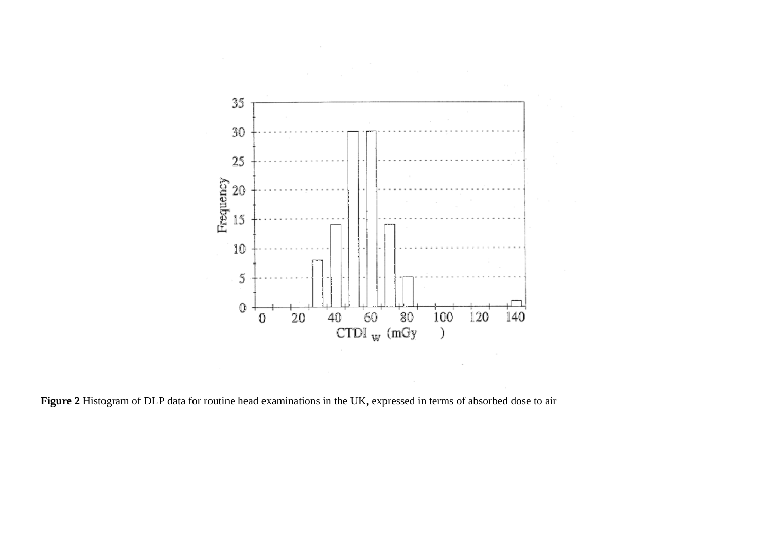

**Figure 2** Histogram of DLP data for routine head examinations in the UK, expressed in terms of absorbed dose to air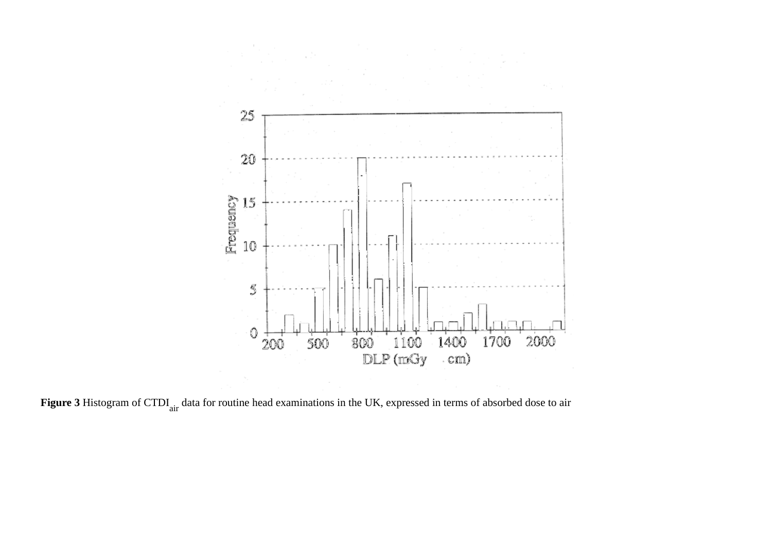

Figure 3 Histogram of CTDI<sub>air</sub> data for routine head examinations in the UK, expressed in terms of absorbed dose to air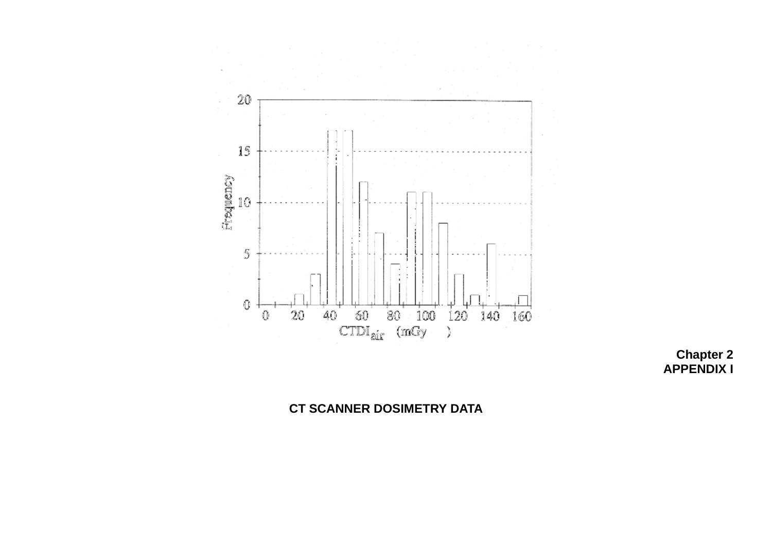

**Chapter 2 APPENDIX I**

# **CT SCANNER DOSIMETRY DATA**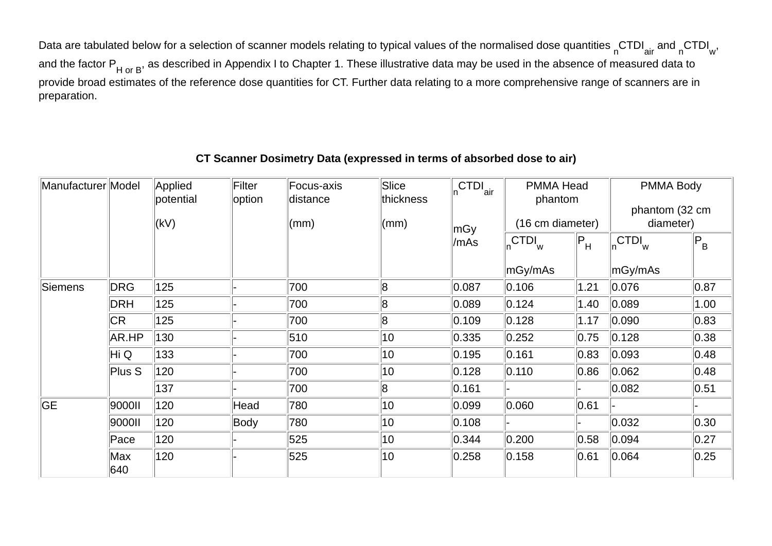Data are tabulated below for a selection of scanner models relating to typical values of the normalised dose quantities  $n$ CTDI $_{air}$  and  $n$ CTDI $_{wr}$ , and the factor  $P_{H or B}$ , as described in Appendix I to Chapter 1. These illustrative data may be used in the absence of measured data to provide broad estimates of the reference dose quantities for CT. Further data relating to a more comprehensive range of scanners are in preparation.

#### Manufacturer Model Applied potential  $(kV)$ Filter **loption** Focus-axisdistance(mm) **Slice** thickness(mm) n<sup>CTDI</sup>air mGy /mAsPMMA Headphantom (16 cm diameter) PMMA Body phantom (32 cm diameter) <sub>n</sub>CTDI<sub>w</sub> mGy/mAs  $\mathsf{P}_{\mathsf{H}} \quad \big\|_{\mathsf{n}}\mathsf{CTDI}_{\mathsf{w}}$ mGy/mAs  $|P_{B}$ Siemens IDRG I125 - I- I700 - I8 - I0.087 I0.106 I1.21 I0.076 - I0.87  $|0.87|$ DRH 125 - 700 8 0.089 0.124 1.40 0.089 1.00CR 125 - 700 8 0.109 0.128 1.17 0.090 0.83 $|0.83\rangle$ AR.HP |130 |- |510 |10 |0.335 |0.252 |0.75 |0.128 |0.38  $|0.38|$ Hi Q |133 ||- ||700 ||10 ||0.195 ||0.161 ||0.83 ||0.093 ||0.48 Plus S 120 - 700 10 0.128 0.110 0.86 0.062 0.48 $|0.48|$ 137 - 700 8 0.161 - - 0.082 0.51 $|0.51$ GE 9000II 120 Head 780 10 0.099 0.060 0.61 - -9000II ||120 ||Body ||780 ||10 ||0.108 ||- ||- ||0.032 ||0.30 Pace 120 - 525 10 0.344 0.200 0.58 0.094 0.27Max 640120 - 525 10 0.258 0.158 0.61 0.064 0.25

## **CT Scanner Dosimetry Data (expressed in terms of absorbed dose to air)**